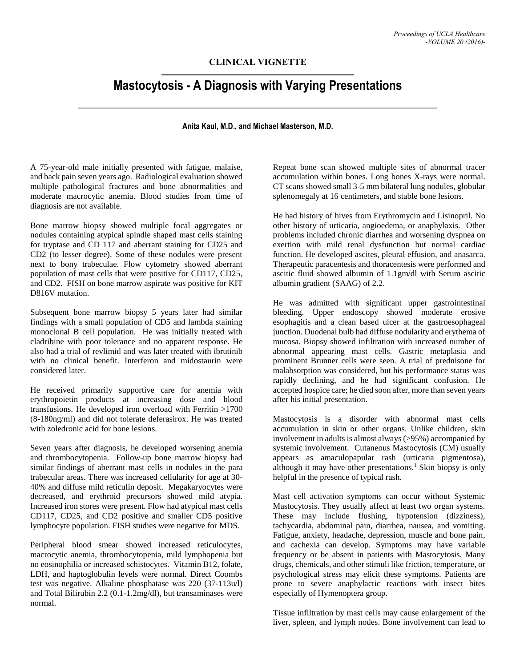## **CLINICAL VIGNETTE**

## **Mastocytosis - A Diagnosis with Varying Presentations**

## **Anita Kaul, M.D., and Michael Masterson, M.D.**

A 75-year-old male initially presented with fatigue, malaise, and back pain seven years ago. Radiological evaluation showed multiple pathological fractures and bone abnormalities and moderate macrocytic anemia. Blood studies from time of diagnosis are not available.

Bone marrow biopsy showed multiple focal aggregates or nodules containing atypical spindle shaped mast cells staining for tryptase and CD 117 and aberrant staining for CD25 and CD2 (to lesser degree). Some of these nodules were present next to bony trabeculae. Flow cytometry showed aberrant population of mast cells that were positive for CD117, CD25, and CD2. FISH on bone marrow aspirate was positive for KIT D816V mutation.

Subsequent bone marrow biopsy 5 years later had similar findings with a small population of CD5 and lambda staining monoclonal B cell population. He was initially treated with cladribine with poor tolerance and no apparent response. He also had a trial of revlimid and was later treated with ibrutinib with no clinical benefit. Interferon and midostaurin were considered later.

He received primarily supportive care for anemia with erythropoietin products at increasing dose and blood transfusions. He developed iron overload with Ferritin >1700 (8-180ng/ml) and did not tolerate deferasirox. He was treated with zoledronic acid for bone lesions.

Seven years after diagnosis, he developed worsening anemia and thrombocytopenia. Follow-up bone marrow biopsy had similar findings of aberrant mast cells in nodules in the para trabecular areas. There was increased cellularity for age at 30- 40% and diffuse mild reticulin deposit. Megakaryocytes were decreased, and erythroid precursors showed mild atypia. Increased iron stores were present. Flow had atypical mast cells CD117, CD25, and CD2 positive and smaller CD5 positive lymphocyte population. FISH studies were negative for MDS.

Peripheral blood smear showed increased reticulocytes, macrocytic anemia, thrombocytopenia, mild lymphopenia but no eosinophilia or increased schistocytes. Vitamin B12, folate, LDH, and haptoglobulin levels were normal. Direct Coombs test was negative. Alkaline phosphatase was 220 (37-113u/l) and Total Bilirubin 2.2 (0.1-1.2mg/dl), but transaminases were normal.

Repeat bone scan showed multiple sites of abnormal tracer accumulation within bones. Long bones X-rays were normal. CT scans showed small 3-5 mm bilateral lung nodules, globular splenomegaly at 16 centimeters, and stable bone lesions.

He had history of hives from Erythromycin and Lisinopril. No other history of urticaria, angioedema, or anaphylaxis. Other problems included chronic diarrhea and worsening dyspnea on exertion with mild renal dysfunction but normal cardiac function. He developed ascites, pleural effusion, and anasarca. Therapeutic paracentesis and thoracentesis were performed and ascitic fluid showed albumin of 1.1gm/dl with Serum ascitic albumin gradient (SAAG) of 2.2.

He was admitted with significant upper gastrointestinal bleeding. Upper endoscopy showed moderate erosive esophagitis and a clean based ulcer at the gastroesophageal junction. Duodenal bulb had diffuse nodularity and erythema of mucosa. Biopsy showed infiltration with increased number of abnormal appearing mast cells. Gastric metaplasia and prominent Brunner cells were seen. A trial of prednisone for malabsorption was considered, but his performance status was rapidly declining, and he had significant confusion. He accepted hospice care; he died soon after, more than seven years after his initial presentation.

Mastocytosis is a disorder with abnormal mast cells accumulation in skin or other organs. Unlike children, skin involvement in adults is almost always (>95%) accompanied by systemic involvement. Cutaneous Mastocytosis (CM) usually appears as amaculopapular rash (urticaria pigmentosa), although it may have other presentations.<sup>1</sup> Skin biopsy is only helpful in the presence of typical rash.

Mast cell activation symptoms can occur without Systemic Mastocytosis. They usually affect at least two organ systems. These may include flushing, hypotension (dizziness), tachycardia, abdominal pain, diarrhea, nausea, and vomiting. Fatigue, anxiety, headache, depression, muscle and bone pain, and cachexia can develop. Symptoms may have variable frequency or be absent in patients with Mastocytosis. Many drugs, chemicals, and other stimuli like friction, temperature, or psychological stress may elicit these symptoms. Patients are prone to severe anaphylactic reactions with insect bites especially of Hymenoptera group.

Tissue infiltration by mast cells may cause enlargement of the liver, spleen, and lymph nodes. Bone involvement can lead to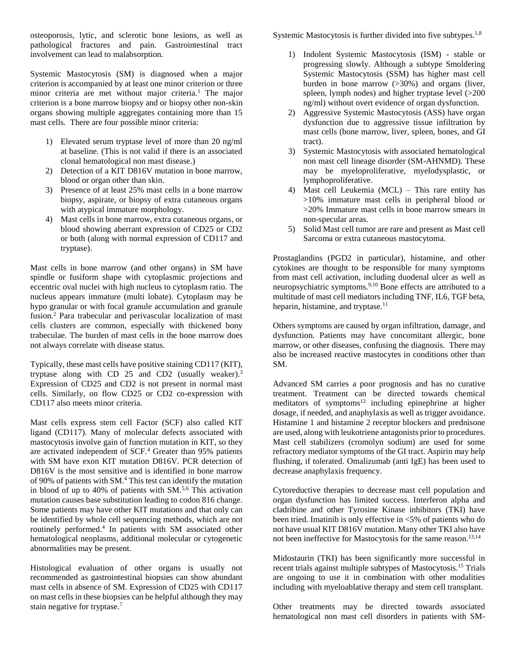osteoporosis, lytic, and sclerotic bone lesions, as well as pathological fractures and pain. Gastrointestinal tract involvement can lead to malabsorption.

Systemic Mastocytosis (SM) is diagnosed when a major criterion is accompanied by at least one minor criterion or three minor criteria are met without major criteria.<sup>1</sup> The major criterion is a bone marrow biopsy and or biopsy other non-skin organs showing multiple aggregates containing more than 15 mast cells. There are four possible minor criteria:

- 1) Elevated serum tryptase level of more than 20 ng/ml at baseline. (This is not valid if there is an associated clonal hematological non mast disease.)
- 2) Detection of a KIT D816V mutation in bone marrow, blood or organ other than skin.
- 3) Presence of at least 25% mast cells in a bone marrow biopsy, aspirate, or biopsy of extra cutaneous organs with atypical immature morphology.
- 4) Mast cells in bone marrow, extra cutaneous organs, or blood showing aberrant expression of CD25 or CD2 or both (along with normal expression of CD117 and tryptase).

Mast cells in bone marrow (and other organs) in SM have spindle or fusiform shape with cytoplasmic projections and eccentric oval nuclei with high nucleus to cytoplasm ratio. The nucleus appears immature (multi lobate). Cytoplasm may be hypo granular or with focal granule accumulation and granule fusion.<sup>2</sup> Para trabecular and perivascular localization of mast cells clusters are common, especially with thickened bony trabeculae. The burden of mast cells in the bone marrow does not always correlate with disease status.

Typically, these mast cells have positive staining CD117 (KIT), tryptase along with CD 25 and CD2 (usually weaker).<sup>3</sup> Expression of CD25 and CD2 is not present in normal mast cells. Similarly, on flow CD25 or CD2 co-expression with CD117 also meets minor criteria.

Mast cells express stem cell Factor (SCF) also called KIT ligand (CD117). Many of molecular defects associated with mastocytosis involve gain of function mutation in KIT, so they are activated independent of SCF.<sup>4</sup> Greater than 95% patients with SM have exon KIT mutation D816V. PCR detection of D816V is the most sensitive and is identified in bone marrow of 90% of patients with SM.<sup>4</sup> This test can identify the mutation in blood of up to 40% of patients with SM.5,6 This activation mutation causes base substitution leading to codon 816 change. Some patients may have other KIT mutations and that only can be identified by whole cell sequencing methods, which are not routinely performed.<sup>4</sup> In patients with SM associated other hematological neoplasms, additional molecular or cytogenetic abnormalities may be present.

Histological evaluation of other organs is usually not recommended as gastrointestinal biopsies can show abundant mast cells in absence of SM. Expression of CD25 with CD117 on mast cells in these biopsies can be helpful although they may stain negative for tryptase.<sup>7</sup>

Systemic Mastocytosis is further divided into five subtypes.<sup>1,8</sup>

- 1) Indolent Systemic Mastocytosis (ISM) stable or progressing slowly. Although a subtype Smoldering Systemic Mastocytosis (SSM) has higher mast cell burden in bone marrow (>30%) and organs (liver, spleen, lymph nodes) and higher tryptase level (>200 ng/ml) without overt evidence of organ dysfunction.
- 2) Aggressive Systemic Mastocytosis (ASS) have organ dysfunction due to aggressive tissue infiltration by mast cells (bone marrow, liver, spleen, bones, and GI tract).
- 3) Systemic Mastocytosis with associated hematological non mast cell lineage disorder (SM-AHNMD). These may be myeloproliferative, myelodysplastic, or lymphoproliferative.
- 4) Mast cell Leukemia (MCL) This rare entity has >10% immature mast cells in peripheral blood or >20% Immature mast cells in bone marrow smears in non-specular areas.
- 5) Solid Mast cell tumor are rare and present as Mast cell Sarcoma or extra cutaneous mastocytoma.

Prostaglandins (PGD2 in particular), histamine, and other cytokines are thought to be responsible for many symptoms from mast cell activation, including duodenal ulcer as well as neuropsychiatric symptoms.9,10 Bone effects are attributed to a multitude of mast cell mediators including TNF, IL6, TGF beta, heparin, histamine, and tryptase.<sup>11</sup>

Others symptoms are caused by organ infiltration, damage, and dysfunction. Patients may have concomitant allergic, bone marrow, or other diseases, confusing the diagnosis. There may also be increased reactive mastocytes in conditions other than SM.

Advanced SM carries a poor prognosis and has no curative treatment. Treatment can be directed towards chemical meditators of symptoms $12$  including epinephrine at higher dosage, if needed, and anaphylaxis as well as trigger avoidance. Histamine 1 and histamine 2 receptor blockers and prednisone are used, along with leukotriene antagonists prior to procedures. Mast cell stabilizers (cromolyn sodium) are used for some refractory mediator symptoms of the GI tract. Aspirin may help flushing, if tolerated. Omalizumab (anti IgE) has been used to decrease anaphylaxis frequency.

Cytoreductive therapies to decrease mast cell population and organ dysfunction has limited success. Interferon alpha and cladribine and other Tyrosine Kinase inhibitors (TKI) have been tried. Imatinib is only effective in <5% of patients who do not have usual KIT D816V mutation. Many other TKI also have not been ineffective for Mastocytosis for the same reason.<sup>13,14</sup>

Midostaurin (TKI) has been significantly more successful in recent trials against multiple subtypes of Mastocytosis.<sup>15</sup> Trials are ongoing to use it in combination with other modalities including with myeloablative therapy and stem cell transplant.

Other treatments may be directed towards associated hematological non mast cell disorders in patients with SM-